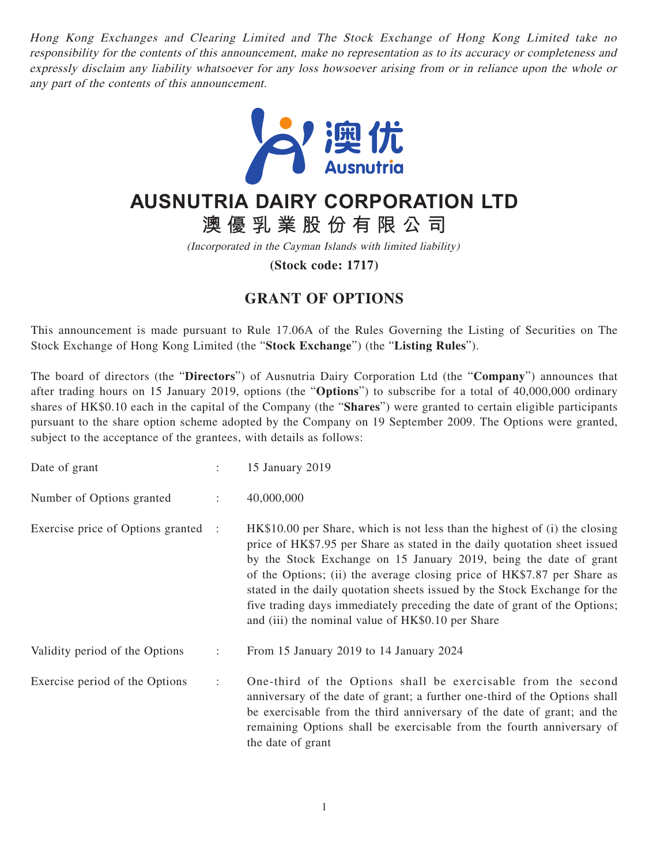Hong Kong Exchanges and Clearing Limited and The Stock Exchange of Hong Kong Limited take no responsibility for the contents of this announcement, make no representation as to its accuracy or completeness and expressly disclaim any liability whatsoever for any loss howsoever arising from or in reliance upon the whole or any part of the contents of this announcement.



## **AUSNUTRIA DAIRY CORPORATION LTD**

**澳優乳業股份有限公司**

(Incorporated in the Cayman Islands with limited liability)

**(Stock code: 1717)**

## **GRANT OF OPTIONS**

This announcement is made pursuant to Rule 17.06A of the Rules Governing the Listing of Securities on The Stock Exchange of Hong Kong Limited (the "**Stock Exchange**") (the "**Listing Rules**").

The board of directors (the "**Directors**") of Ausnutria Dairy Corporation Ltd (the "**Company**") announces that after trading hours on 15 January 2019, options (the "**Options**") to subscribe for a total of 40,000,000 ordinary shares of HK\$0.10 each in the capital of the Company (the "**Shares**") were granted to certain eligible participants pursuant to the share option scheme adopted by the Company on 19 September 2009. The Options were granted, subject to the acceptance of the grantees, with details as follows:

| Date of grant                       |                      | 15 January 2019                                                                                                                                                                                                                                                                                                                                                                                                                                                                                                        |
|-------------------------------------|----------------------|------------------------------------------------------------------------------------------------------------------------------------------------------------------------------------------------------------------------------------------------------------------------------------------------------------------------------------------------------------------------------------------------------------------------------------------------------------------------------------------------------------------------|
| Number of Options granted           | $\ddot{\phantom{a}}$ | 40,000,000                                                                                                                                                                                                                                                                                                                                                                                                                                                                                                             |
| Exercise price of Options granted : |                      | HK\$10.00 per Share, which is not less than the highest of (i) the closing<br>price of HK\$7.95 per Share as stated in the daily quotation sheet issued<br>by the Stock Exchange on 15 January 2019, being the date of grant<br>of the Options; (ii) the average closing price of HK\$7.87 per Share as<br>stated in the daily quotation sheets issued by the Stock Exchange for the<br>five trading days immediately preceding the date of grant of the Options;<br>and (iii) the nominal value of HK\$0.10 per Share |
| Validity period of the Options      | $\ddot{\phantom{a}}$ | From 15 January 2019 to 14 January 2024                                                                                                                                                                                                                                                                                                                                                                                                                                                                                |
| Exercise period of the Options      | ÷                    | One-third of the Options shall be exercisable from the second<br>anniversary of the date of grant; a further one-third of the Options shall<br>be exercisable from the third anniversary of the date of grant; and the<br>remaining Options shall be exercisable from the fourth anniversary of<br>the date of grant                                                                                                                                                                                                   |